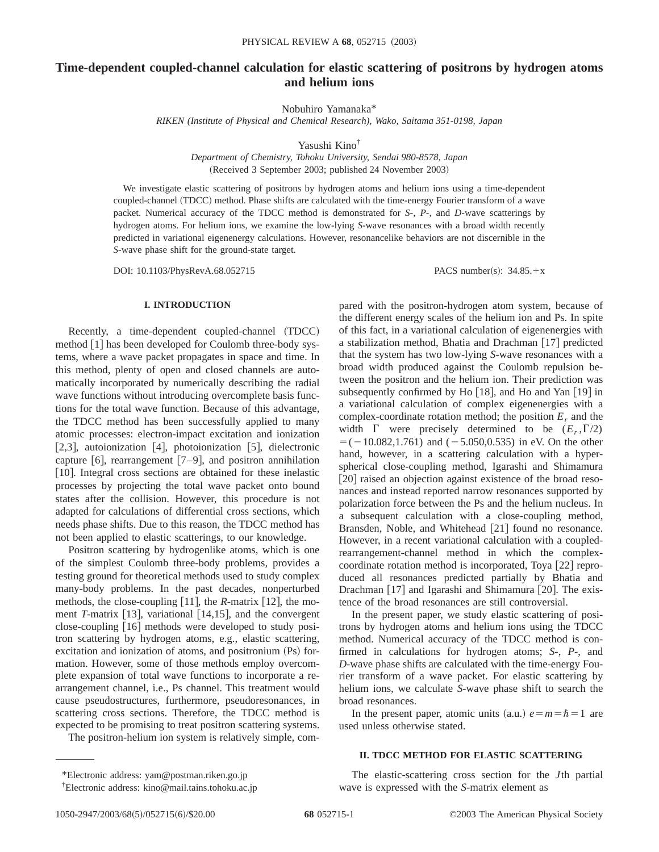# **Time-dependent coupled-channel calculation for elastic scattering of positrons by hydrogen atoms and helium ions**

Nobuhiro Yamanaka\*

*RIKEN (Institute of Physical and Chemical Research), Wako, Saitama 351-0198, Japan*

Yasushi Kino†

*Department of Chemistry, Tohoku University, Sendai 980-8578, Japan* (Received 3 September 2003; published 24 November 2003)

We investigate elastic scattering of positrons by hydrogen atoms and helium ions using a time-dependent coupled-channel (TDCC) method. Phase shifts are calculated with the time-energy Fourier transform of a wave packet. Numerical accuracy of the TDCC method is demonstrated for *S*-, *P*-, and *D*-wave scatterings by hydrogen atoms. For helium ions, we examine the low-lying *S*-wave resonances with a broad width recently predicted in variational eigenenergy calculations. However, resonancelike behaviors are not discernible in the *S*-wave phase shift for the ground-state target.

DOI: 10.1103/PhysRevA.68.052715 PACS number(s):  $34.85.+x$ 

# **I. INTRODUCTION**

Recently, a time-dependent coupled-channel (TDCC) method  $[1]$  has been developed for Coulomb three-body systems, where a wave packet propagates in space and time. In this method, plenty of open and closed channels are automatically incorporated by numerically describing the radial wave functions without introducing overcomplete basis functions for the total wave function. Because of this advantage, the TDCC method has been successfully applied to many atomic processes: electron-impact excitation and ionization [2,3], autoionization [4], photoionization [5], dielectronic capture [6], rearrangement  $[7-9]$ , and positron annihilation [10]. Integral cross sections are obtained for these inelastic processes by projecting the total wave packet onto bound states after the collision. However, this procedure is not adapted for calculations of differential cross sections, which needs phase shifts. Due to this reason, the TDCC method has not been applied to elastic scatterings, to our knowledge.

Positron scattering by hydrogenlike atoms, which is one of the simplest Coulomb three-body problems, provides a testing ground for theoretical methods used to study complex many-body problems. In the past decades, nonperturbed methods, the close-coupling  $[11]$ , the *R*-matrix  $[12]$ , the moment *T*-matrix [13], variational [14,15], and the convergent close-coupling [16] methods were developed to study positron scattering by hydrogen atoms, e.g., elastic scattering, excitation and ionization of atoms, and positronium (Ps) formation. However, some of those methods employ overcomplete expansion of total wave functions to incorporate a rearrangement channel, i.e., Ps channel. This treatment would cause pseudostructures, furthermore, pseudoresonances, in scattering cross sections. Therefore, the TDCC method is expected to be promising to treat positron scattering systems.

The positron-helium ion system is relatively simple, com-

pared with the positron-hydrogen atom system, because of the different energy scales of the helium ion and Ps. In spite of this fact, in a variational calculation of eigenenergies with a stabilization method, Bhatia and Drachman  $[17]$  predicted that the system has two low-lying *S*-wave resonances with a broad width produced against the Coulomb repulsion between the positron and the helium ion. Their prediction was subsequently confirmed by Ho  $[18]$ , and Ho and Yan  $[19]$  in a variational calculation of complex eigenenergies with a complex-coordinate rotation method; the position  $E_r$  and the width  $\Gamma$  were precisely determined to be  $(E_r, \Gamma/2)$  $=(-10.082, 1.761)$  and  $(-5.050, 0.535)$  in eV. On the other hand, however, in a scattering calculation with a hyperspherical close-coupling method, Igarashi and Shimamura [20] raised an objection against existence of the broad resonances and instead reported narrow resonances supported by polarization force between the Ps and the helium nucleus. In a subsequent calculation with a close-coupling method, Bransden, Noble, and Whitehead [21] found no resonance. However, in a recent variational calculation with a coupledrearrangement-channel method in which the complexcoordinate rotation method is incorporated, Toya  $[22]$  reproduced all resonances predicted partially by Bhatia and Drachman  $[17]$  and Igarashi and Shimamura  $[20]$ . The existence of the broad resonances are still controversial.

In the present paper, we study elastic scattering of positrons by hydrogen atoms and helium ions using the TDCC method. Numerical accuracy of the TDCC method is confirmed in calculations for hydrogen atoms; *S*-, *P*-, and *D*-wave phase shifts are calculated with the time-energy Fourier transform of a wave packet. For elastic scattering by helium ions, we calculate *S*-wave phase shift to search the broad resonances.

In the present paper, atomic units  $(a.u.)$   $e=m=\hbar=1$  are used unless otherwise stated.

#### **II. TDCC METHOD FOR ELASTIC SCATTERING**

The elastic-scattering cross section for the *J*th partial wave is expressed with the *S*-matrix element as

<sup>\*</sup>Electronic address: yam@postman.riken.go.jp

<sup>†</sup> Electronic address: kino@mail.tains.tohoku.ac.jp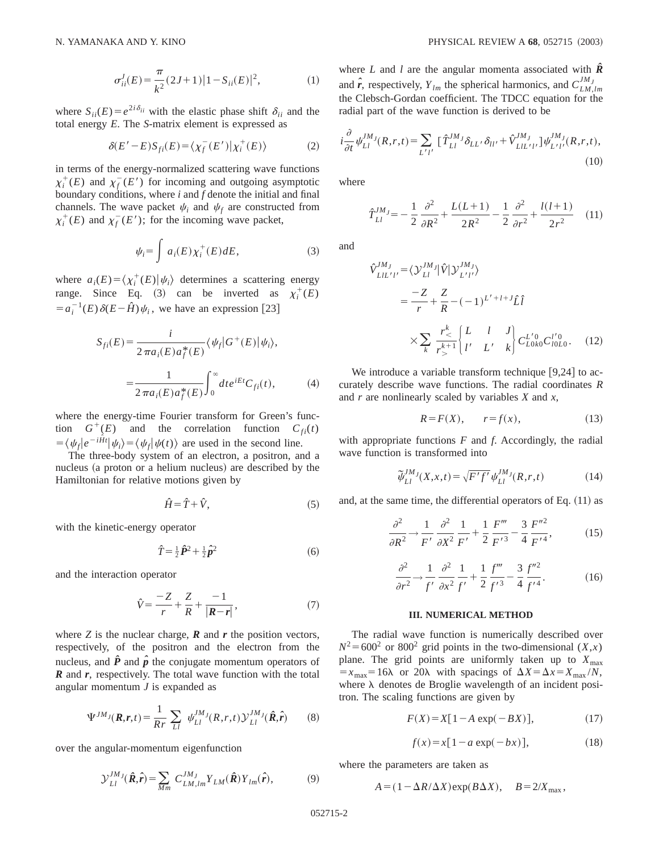$$
\sigma_{ii}^J(E) = \frac{\pi}{k^2} (2J+1) |1 - S_{ii}(E)|^2, \tag{1}
$$

where  $S_{ii}(E) = e^{2i\delta_{ii}}$  with the elastic phase shift  $\delta_{ii}$  and the total energy *E*. The *S*-matrix element is expressed as

$$
\delta(E'-E)S_{fi}(E) = \langle \chi_f^-(E') | \chi_i^+(E) \rangle \tag{2}
$$

in terms of the energy-normalized scattering wave functions  $\chi_i^+(E)$  and  $\chi_f^-(E')$  for incoming and outgoing asymptotic boundary conditions, where *i* and *f* denote the initial and final channels. The wave packet  $\psi_i$  and  $\psi_f$  are constructed from  $\chi_i^+(E)$  and  $\chi_f^-(E')$ ; for the incoming wave packet,

$$
\psi_i = \int a_i(E) \chi_i^+(E) dE, \tag{3}
$$

where  $a_i(E) = \langle \chi_i^+(E) | \psi_i \rangle$  determines a scattering energy range. Since Eq. (3) can be inverted as  $\chi_i^+(E)$  $=a_i^{-1}(E) \delta(E-\hat{H}) \psi_i$ , we have an expression [23]

$$
S_{fi}(E) = \frac{i}{2\pi a_i(E)a_f^*(E)} \langle \psi_f | G^+(E) | \psi_i \rangle,
$$
  
= 
$$
\frac{1}{2\pi a_i(E)a_f^*(E)} \int_0^\infty dt e^{iEt} C_{fi}(t), \qquad (4)
$$

where the energy-time Fourier transform for Green's function  $G^+(E)$  and the correlation function  $C_{fi}(t)$  $= \langle \psi_f | e^{-i\hat{H}t} | \psi_i \rangle = \langle \psi_f | \psi(t) \rangle$  are used in the second line.

The three-body system of an electron, a positron, and a nucleus (a proton or a helium nucleus) are described by the Hamiltonian for relative motions given by

$$
\hat{H} = \hat{T} + \hat{V},\tag{5}
$$

with the kinetic-energy operator

$$
\hat{T} = \frac{1}{2}\hat{P}^2 + \frac{1}{2}\hat{p}^2
$$
\n<sup>(6)</sup>

and the interaction operator

$$
\hat{V} = \frac{-Z}{r} + \frac{Z}{R} + \frac{-1}{|\mathbf{R} - \mathbf{r}|},\tag{7}
$$

where  $Z$  is the nuclear charge,  $\boldsymbol{R}$  and  $\boldsymbol{r}$  the position vectors, respectively, of the positron and the electron from the nucleus, and  $\hat{P}$  and  $\hat{p}$  the conjugate momentum operators of *R* and *r*, respectively. The total wave function with the total angular momentum *J* is expanded as

$$
\Psi^{JM}{}_{J}(\boldsymbol{R},\boldsymbol{r},t) = \frac{1}{R r} \sum_{LI} \psi^{JM}_{LI}(R,r,t) \mathcal{Y}^{JM}_{LI}(\hat{\boldsymbol{R}},\hat{\boldsymbol{r}}) \qquad (8)
$$

over the angular-momentum eigenfunction

$$
\mathcal{Y}_{LI}^{JM}(\hat{\boldsymbol{R}},\hat{\boldsymbol{r}}) = \sum_{Mm} C_{LM,lm}^{JM_J} Y_{LM}(\hat{\boldsymbol{R}}) Y_{lm}(\hat{\boldsymbol{r}}),
$$
(9)

where *L* and *l* are the angular momenta associated with  $\hat{R}$ and  $\hat{r}$ , respectively,  $Y_{lm}$  the spherical harmonics, and  $C_{LM,lm}^{JM_J}$ the Clebsch-Gordan coefficient. The TDCC equation for the radial part of the wave function is derived to be

$$
i\frac{\partial}{\partial t}\psi_{Ll}^{JM}{}^{J}(R,r,t) = \sum_{L'l'} \left[ \hat{T}_{Ll}^{JM}{}^{J}\delta_{LL'}\delta_{ll'} + \hat{V}_{LlL'l'}^{JM} \right] \psi_{L'l'}^{JM}{}^{J}(R,r,t),\tag{10}
$$

where

$$
\hat{T}_{LI}^{JM} = -\frac{1}{2} \frac{\partial^2}{\partial R^2} + \frac{L(L+1)}{2R^2} - \frac{1}{2} \frac{\partial^2}{\partial r^2} + \frac{l(l+1)}{2r^2} \quad (11)
$$

and

*Vˆ*

$$
V_{LIL'l'}^{JM} = \langle \mathcal{Y}_{LI}^{JM} | \hat{V} | \mathcal{Y}_{L'l'}^{JM} \rangle
$$
  
=  $\frac{-Z}{r} + \frac{Z}{R} - (-1)^{L' + l + J} \hat{L} \hat{l}$   
 $\times \sum_{k} \frac{r_{\le}^{k}}{r_{\ge}^{k+1}} \begin{cases} L & l & J \\ l' & L' & k \end{cases} C_{L0k0}^{L'0} C_{I0L0}^{l'0}.$  (12)

We introduce a variable transform technique  $[9,24]$  to accurately describe wave functions. The radial coordinates *R* and *r* are nonlinearly scaled by variables *X* and *x*,

$$
R = F(X), \qquad r = f(x), \tag{13}
$$

with appropriate functions *F* and *f*. Accordingly, the radial wave function is transformed into

$$
\tilde{\psi}_{Ll}^{JM}{}^{j}(X,x,t) = \sqrt{F'f'}\,\psi_{Ll}^{JM}{}^{j}(R,r,t)
$$
\n(14)

and, at the same time, the differential operators of Eq.  $(11)$  as

$$
\frac{\partial^2}{\partial R^2} \to \frac{1}{F'} \frac{\partial^2}{\partial X^2} \frac{1}{F'} + \frac{1}{2} \frac{F'''}{F'^3} - \frac{3}{4} \frac{F''^2}{F'^4},\tag{15}
$$

$$
\frac{\partial^2}{\partial r^2} \rightarrow \frac{1}{f'} \frac{\partial^2}{\partial x^2} \frac{1}{f'} + \frac{1}{2} \frac{f'''}{f'^3} - \frac{3}{4} \frac{f''^2}{f'^4}.
$$
 (16)

## **III. NUMERICAL METHOD**

The radial wave function is numerically described over  $N^2$ =600<sup>2</sup> or 800<sup>2</sup> grid points in the two-dimensional (*X*,*x*) plane. The grid points are uniformly taken up to  $X_{\text{max}}$  $=x_{\text{max}}=16\lambda$  or 20 $\lambda$  with spacings of  $\Delta X = \Delta x = X_{\text{max}}/N$ , where  $\lambda$  denotes de Broglie wavelength of an incident positron. The scaling functions are given by

$$
F(X) = X[1 - A \exp(-BX)],
$$
 (17)

$$
f(x) = x[1 - a \exp(-bx)], \qquad (18)
$$

where the parameters are taken as

$$
A = (1 - \Delta R / \Delta X) \exp(B \Delta X), \quad B = 2/X_{\text{max}},
$$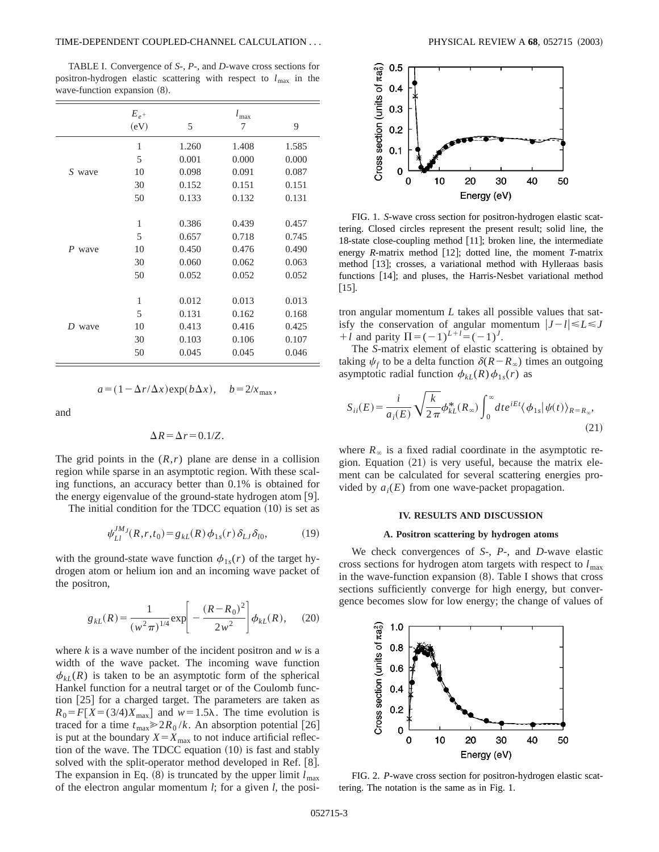## TIME-DEPENDENT COUPLED-CHANNEL CALCULATION . . . PHYSICAL REVIEW A **68**, 052715 ~2003!

TABLE I. Convergence of *S*-, *P*-, and *D*-wave cross sections for positron-hydrogen elastic scattering with respect to *l*max in the wave-function expansion  $(8)$ .

|           | $E_{e^+}$ |       | $l_{\text{max}}$ |       |
|-----------|-----------|-------|------------------|-------|
|           | (eV)      | 5     | 7                | 9     |
| S wave    | 1         | 1.260 | 1.408            | 1.585 |
|           | 5         | 0.001 | 0.000            | 0.000 |
|           | 10        | 0.098 | 0.091            | 0.087 |
|           | 30        | 0.152 | 0.151            | 0.151 |
|           | 50        | 0.133 | 0.132            | 0.131 |
|           |           |       |                  |       |
| P<br>wave | 1         | 0.386 | 0.439            | 0.457 |
|           | 5         | 0.657 | 0.718            | 0.745 |
|           | 10        | 0.450 | 0.476            | 0.490 |
|           | 30        | 0.060 | 0.062            | 0.063 |
|           | 50        | 0.052 | 0.052            | 0.052 |
|           |           |       |                  |       |
| D<br>wave | 1         | 0.012 | 0.013            | 0.013 |
|           | 5         | 0.131 | 0.162            | 0.168 |
|           | 10        | 0.413 | 0.416            | 0.425 |
|           | 30        | 0.103 | 0.106            | 0.107 |
|           | 50        | 0.045 | 0.045            | 0.046 |
|           |           |       |                  |       |

$$
a = (1 - \Delta r / \Delta x) \exp(b \Delta x), \quad b = 2 / x_{\text{max}},
$$

and

$$
\Delta R = \Delta r = 0.1/Z.
$$

The grid points in the  $(R,r)$  plane are dense in a collision region while sparse in an asymptotic region. With these scaling functions, an accuracy better than 0.1% is obtained for the energy eigenvalue of the ground-state hydrogen atom  $[9]$ .

The initial condition for the TDCC equation  $(10)$  is set as

$$
\psi_{Ll}^{JM} (R, r, t_0) = g_{kL}(R) \phi_{1s}(r) \delta_{Ll} \delta_{l0}, \tag{19}
$$

with the ground-state wave function  $\phi_{1s}(r)$  of the target hydrogen atom or helium ion and an incoming wave packet of the positron,

$$
g_{kL}(R) = \frac{1}{(w^2 \pi)^{1/4}} \exp\left[-\frac{(R - R_0)^2}{2w^2}\right] \phi_{kL}(R), \quad (20)
$$

where  $k$  is a wave number of the incident positron and  $w$  is a width of the wave packet. The incoming wave function  $\phi_{kI}(R)$  is taken to be an asymptotic form of the spherical Hankel function for a neutral target or of the Coulomb function  $[25]$  for a charged target. The parameters are taken as  $R_0 = F[X=(3/4)X_{\text{max}}]$  and  $w=1.5\lambda$ . The time evolution is traced for a time  $t_{\text{max}} \ge 2R_0 / k$ . An absorption potential [26] is put at the boundary  $X = X_{\text{max}}$  to not induce artificial reflection of the wave. The TDCC equation  $(10)$  is fast and stably solved with the split-operator method developed in Ref. [8]. The expansion in Eq.  $(8)$  is truncated by the upper limit  $l_{\text{max}}$ of the electron angular momentum *l*; for a given *l*, the posi-



FIG. 1. *S*-wave cross section for positron-hydrogen elastic scattering. Closed circles represent the present result; solid line, the 18-state close-coupling method  $[11]$ ; broken line, the intermediate energy *R*-matrix method [12]; dotted line, the moment *T*-matrix method [13]; crosses, a variational method with Hylleraas basis functions [14]; and pluses, the Harris-Nesbet variational method  $[15]$ .

tron angular momentum *L* takes all possible values that satisfy the conservation of angular momentum  $|J - l| \le L \le J$ *+ l* and parity  $\Pi = (-1)^{L+l} = (-1)^{J}$ .

The *S*-matrix element of elastic scattering is obtained by taking  $\psi_f$  to be a delta function  $\delta(R-R_\infty)$  times an outgoing asymptotic radial function  $\phi_{kL}(R)\phi_{1s}(r)$  as

$$
S_{ii}(E) = \frac{i}{a_i(E)} \sqrt{\frac{k}{2\pi}} \phi_{kL}^*(R_\infty) \int_0^\infty dt e^{iEt} \langle \phi_{1s} | \psi(t) \rangle_{R=R_\infty},
$$
\n(21)

where  $R_\infty$  is a fixed radial coordinate in the asymptotic region. Equation  $(21)$  is very useful, because the matrix element can be calculated for several scattering energies provided by  $a_i(E)$  from one wave-packet propagation.

## **IV. RESULTS AND DISCUSSION**

## **A. Positron scattering by hydrogen atoms**

We check convergences of *S*-, *P*-, and *D*-wave elastic cross sections for hydrogen atom targets with respect to  $l_{\text{max}}$ in the wave-function expansion  $(8)$ . Table I shows that cross sections sufficiently converge for high energy, but convergence becomes slow for low energy; the change of values of



FIG. 2. *P*-wave cross section for positron-hydrogen elastic scattering. The notation is the same as in Fig. 1.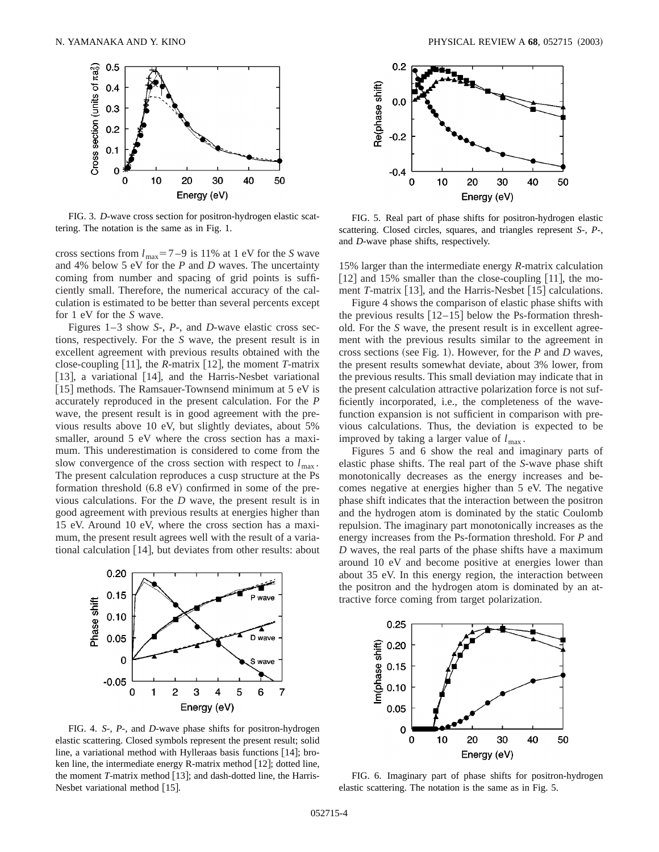

FIG. 3. *D*-wave cross section for positron-hydrogen elastic scattering. The notation is the same as in Fig. 1.

cross sections from  $l_{\text{max}}=7-9$  is 11% at 1 eV for the *S* wave and 4% below 5 eV for the *P* and *D* waves. The uncertainty coming from number and spacing of grid points is sufficiently small. Therefore, the numerical accuracy of the calculation is estimated to be better than several percents except for 1 eV for the *S* wave.

Figures 1–3 show *S*-, *P*-, and *D*-wave elastic cross sections, respectively. For the *S* wave, the present result is in excellent agreement with previous results obtained with the close-coupling  $[11]$ , the *R*-matrix  $[12]$ , the moment *T*-matrix [13], a variational [14], and the Harris-Nesbet variational [15] methods. The Ramsauer-Townsend minimum at  $5 eV$  is accurately reproduced in the present calculation. For the *P* wave, the present result is in good agreement with the previous results above 10 eV, but slightly deviates, about 5% smaller, around 5 eV where the cross section has a maximum. This underestimation is considered to come from the slow convergence of the cross section with respect to  $l_{\text{max}}$ . The present calculation reproduces a cusp structure at the Ps formation threshold  $(6.8 \text{ eV})$  confirmed in some of the previous calculations. For the *D* wave, the present result is in good agreement with previous results at energies higher than 15 eV. Around 10 eV, where the cross section has a maximum, the present result agrees well with the result of a variational calculation  $[14]$ , but deviates from other results: about



FIG. 4. *S*-, *P*-, and *D*-wave phase shifts for positron-hydrogen elastic scattering. Closed symbols represent the present result; solid line, a variational method with Hylleraas basis functions  $[14]$ ; broken line, the intermediate energy R-matrix method  $[12]$ ; dotted line, the moment  $T$ -matrix method  $[13]$ ; and dash-dotted line, the Harris-Nesbet variational method  $[15]$ .



FIG. 5. Real part of phase shifts for positron-hydrogen elastic scattering. Closed circles, squares, and triangles represent *S*-, *P*-, and *D*-wave phase shifts, respectively.

15% larger than the intermediate energy *R*-matrix calculation [12] and 15% smaller than the close-coupling  $[11]$ , the moment *T*-matrix [13], and the Harris-Nesbet [15] calculations.

Figure 4 shows the comparison of elastic phase shifts with the previous results  $[12-15]$  below the Ps-formation threshold. For the *S* wave, the present result is in excellent agreement with the previous results similar to the agreement in cross sections (see Fig. 1). However, for the *P* and *D* waves, the present results somewhat deviate, about 3% lower, from the previous results. This small deviation may indicate that in the present calculation attractive polarization force is not sufficiently incorporated, i.e., the completeness of the wavefunction expansion is not sufficient in comparison with previous calculations. Thus, the deviation is expected to be improved by taking a larger value of  $l_{\text{max}}$ .

Figures 5 and 6 show the real and imaginary parts of elastic phase shifts. The real part of the *S*-wave phase shift monotonically decreases as the energy increases and becomes negative at energies higher than 5 eV. The negative phase shift indicates that the interaction between the positron and the hydrogen atom is dominated by the static Coulomb repulsion. The imaginary part monotonically increases as the energy increases from the Ps-formation threshold. For *P* and *D* waves, the real parts of the phase shifts have a maximum around 10 eV and become positive at energies lower than about 35 eV. In this energy region, the interaction between the positron and the hydrogen atom is dominated by an attractive force coming from target polarization.



FIG. 6. Imaginary part of phase shifts for positron-hydrogen elastic scattering. The notation is the same as in Fig. 5.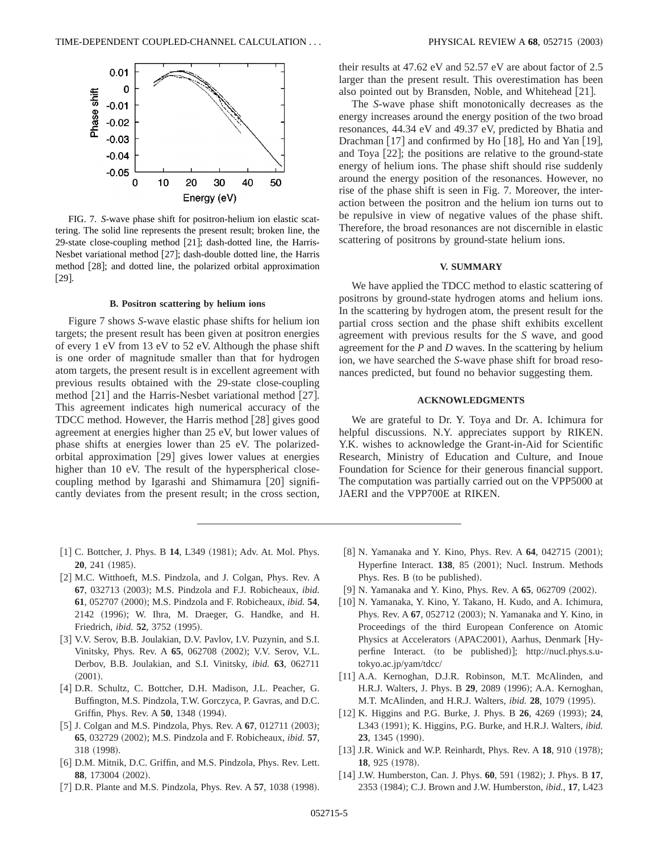

FIG. 7. *S*-wave phase shift for positron-helium ion elastic scattering. The solid line represents the present result; broken line, the 29-state close-coupling method [21]; dash-dotted line, the Harris-Nesbet variational method [27]; dash-double dotted line, the Harris method [28]; and dotted line, the polarized orbital approximation  $[29]$ .

#### **B. Positron scattering by helium ions**

Figure 7 shows *S*-wave elastic phase shifts for helium ion targets; the present result has been given at positron energies of every 1 eV from 13 eV to 52 eV. Although the phase shift is one order of magnitude smaller than that for hydrogen atom targets, the present result is in excellent agreement with previous results obtained with the 29-state close-coupling method  $[21]$  and the Harris-Nesbet variational method  $[27]$ . This agreement indicates high numerical accuracy of the TDCC method. However, the Harris method  $[28]$  gives good agreement at energies higher than 25 eV, but lower values of phase shifts at energies lower than 25 eV. The polarizedorbital approximation  $[29]$  gives lower values at energies higher than 10 eV. The result of the hyperspherical closecoupling method by Igarashi and Shimamura  $[20]$  significantly deviates from the present result; in the cross section,

their results at 47.62 eV and 52.57 eV are about factor of 2.5 larger than the present result. This overestimation has been also pointed out by Bransden, Noble, and Whitehead [21].

The *S*-wave phase shift monotonically decreases as the energy increases around the energy position of the two broad resonances, 44.34 eV and 49.37 eV, predicted by Bhatia and Drachman  $[17]$  and confirmed by Ho  $[18]$ , Ho and Yan  $[19]$ , and Toya  $[22]$ ; the positions are relative to the ground-state energy of helium ions. The phase shift should rise suddenly around the energy position of the resonances. However, no rise of the phase shift is seen in Fig. 7. Moreover, the interaction between the positron and the helium ion turns out to be repulsive in view of negative values of the phase shift. Therefore, the broad resonances are not discernible in elastic scattering of positrons by ground-state helium ions.

## **V. SUMMARY**

We have applied the TDCC method to elastic scattering of positrons by ground-state hydrogen atoms and helium ions. In the scattering by hydrogen atom, the present result for the partial cross section and the phase shift exhibits excellent agreement with previous results for the *S* wave, and good agreement for the *P* and *D* waves. In the scattering by helium ion, we have searched the *S*-wave phase shift for broad resonances predicted, but found no behavior suggesting them.

### **ACKNOWLEDGMENTS**

We are grateful to Dr. Y. Toya and Dr. A. Ichimura for helpful discussions. N.Y. appreciates support by RIKEN. Y.K. wishes to acknowledge the Grant-in-Aid for Scientific Research, Ministry of Education and Culture, and Inoue Foundation for Science for their generous financial support. The computation was partially carried out on the VPP5000 at JAERI and the VPP700E at RIKEN.

- [1] C. Bottcher, J. Phys. B 14, L349 (1981); Adv. At. Mol. Phys. **20**, 241 (1985).
- [2] M.C. Witthoeft, M.S. Pindzola, and J. Colgan, Phys. Rev. A **67**, 032713 (2003); M.S. Pindzola and F.J. Robicheaux, *ibid.* **61**, 052707 (2000); M.S. Pindzola and F. Robicheaux, *ibid.* **54**, 2142 (1996); W. Ihra, M. Draeger, G. Handke, and H. Friedrich, *ibid.* **52**, 3752 (1995).
- [3] V.V. Serov, B.B. Joulakian, D.V. Pavlov, I.V. Puzynin, and S.I. Vinitsky, Phys. Rev. A 65, 062708 (2002); V.V. Serov, V.L. Derbov, B.B. Joulakian, and S.I. Vinitsky, *ibid.* **63**, 062711  $(2001).$
- [4] D.R. Schultz, C. Bottcher, D.H. Madison, J.L. Peacher, G. Buffington, M.S. Pindzola, T.W. Gorczyca, P. Gavras, and D.C. Griffin, Phys. Rev. A **50**, 1348 (1994).
- [5] J. Colgan and M.S. Pindzola, Phys. Rev. A 67, 012711 (2003); **65**, 032729 (2002); M.S. Pindzola and F. Robicheaux, *ibid.* **57**, 318 (1998).
- [6] D.M. Mitnik, D.C. Griffin, and M.S. Pindzola, Phys. Rev. Lett. **88**, 173004 (2002).
- [7] D.R. Plante and M.S. Pindzola, Phys. Rev. A **57**, 1038 (1998).
- [8] N. Yamanaka and Y. Kino, Phys. Rev. A 64, 042715 (2001); Hyperfine Interact. **138**, 85 (2001); Nucl. Instrum. Methods Phys. Res. B (to be published).
- [9] N. Yamanaka and Y. Kino, Phys. Rev. A 65, 062709 (2002).
- [10] N. Yamanaka, Y. Kino, Y. Takano, H. Kudo, and A. Ichimura, Phys. Rev. A 67, 052712 (2003); N. Yamanaka and Y. Kino, in Proceedings of the third European Conference on Atomic Physics at Accelerators (APAC2001), Aarhus, Denmark [Hyperfine Interact. (to be published)]; http://nucl.phys.s.utokyo.ac.jp/yam/tdcc/
- [11] A.A. Kernoghan, D.J.R. Robinson, M.T. McAlinden, and H.R.J. Walters, J. Phys. B 29, 2089 (1996); A.A. Kernoghan, M.T. McAlinden, and H.R.J. Walters, *ibid.* **28**, 1079 (1995).
- $[12]$  K. Higgins and P.G. Burke, J. Phys. B  $26$ ,  $4269$   $(1993)$ ;  $24$ , L343 (1991); K. Higgins, P.G. Burke, and H.R.J. Walters, *ibid.* **23**, 1345 (1990).
- [13] J.R. Winick and W.P. Reinhardt, Phys. Rev. A 18, 910 (1978); **18**, 925 (1978).
- [14] J.W. Humberston, Can. J. Phys. 60, 591 (1982); J. Phys. B 17, 2353 ~1984!; C.J. Brown and J.W. Humberston, *ibid.*, **17**, L423